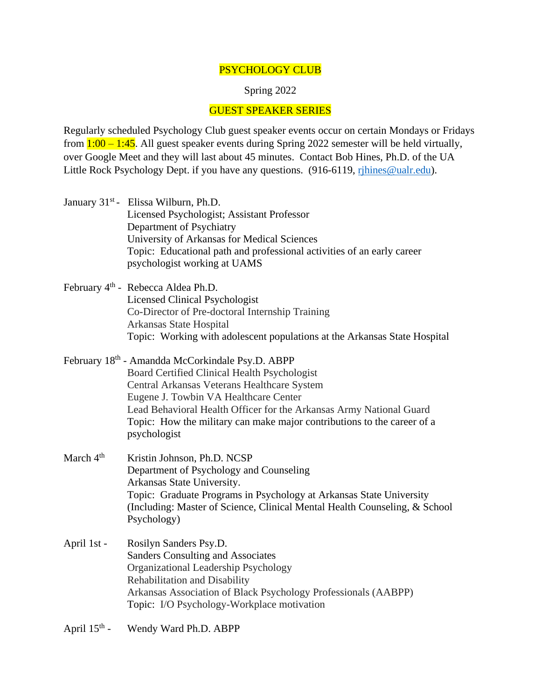## PSYCHOLOGY CLUB

## Spring 2022

## GUEST SPEAKER SERIES

Regularly scheduled Psychology Club guest speaker events occur on certain Mondays or Fridays from  $1:00 - 1:45$ . All guest speaker events during Spring 2022 semester will be held virtually, over Google Meet and they will last about 45 minutes. Contact Bob Hines, Ph.D. of the UA Little Rock Psychology Dept. if you have any questions. (916-6119, rihines@ualr.edu).

- January 31<sup>st</sup> Elissa Wilburn, Ph.D. Licensed Psychologist; Assistant Professor Department of Psychiatry University of Arkansas for Medical Sciences Topic: Educational path and professional activities of an early career psychologist working at UAMS
- February 4<sup>th</sup> Rebecca Aldea Ph.D. Licensed Clinical Psychologist Co-Director of Pre-doctoral Internship Training Arkansas State Hospital Topic: Working with adolescent populations at the Arkansas State Hospital
- February 18<sup>th</sup> Amandda McCorkindale Psy.D. ABPP Board Certified Clinical Health Psychologist Central Arkansas Veterans Healthcare System Eugene J. Towbin VA Healthcare Center Lead Behavioral Health Officer for the Arkansas Army National Guard Topic: How the military can make major contributions to the career of a psychologist
- March 4<sup>th</sup> Kristin Johnson, Ph.D. NCSP Department of Psychology and Counseling Arkansas State University. Topic: Graduate Programs in Psychology at Arkansas State University (Including: Master of Science, Clinical Mental Health Counseling, & School Psychology)
- April 1st Rosilyn Sanders Psy.D. Sanders Consulting and Associates Organizational Leadership Psychology Rehabilitation and Disability Arkansas Association of Black Psychology Professionals (AABPP) Topic: I/O Psychology-Workplace motivation
- April  $15<sup>th</sup>$  -Wendy Ward Ph.D. ABPP